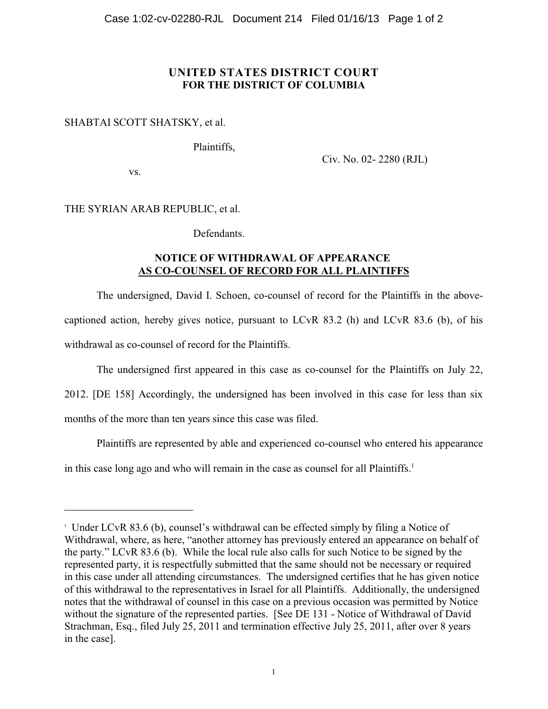## **UNITED STATES DISTRICT COURT FOR THE DISTRICT OF COLUMBIA**

## SHABTAI SCOTT SHATSKY, et al.

Plaintiffs,

Civ. No. 02- 2280 (RJL)

vs.

## THE SYRIAN ARAB REPUBLIC, et al.

Defendants.

## **NOTICE OF WITHDRAWAL OF APPEARANCE AS CO-COUNSEL OF RECORD FOR ALL PLAINTIFFS**

The undersigned, David I. Schoen, co-counsel of record for the Plaintiffs in the abovecaptioned action, hereby gives notice, pursuant to LCvR 83.2 (h) and LCvR 83.6 (b), of his withdrawal as co-counsel of record for the Plaintiffs.

The undersigned first appeared in this case as co-counsel for the Plaintiffs on July 22,

2012. [DE 158] Accordingly, the undersigned has been involved in this case for less than six months of the more than ten years since this case was filed.

Plaintiffs are represented by able and experienced co-counsel who entered his appearance

in this case long ago and who will remain in the case as counsel for all Plaintiffs.<sup>1</sup>

Under LCvR 83.6 (b), counsel's withdrawal can be effected simply by filing a Notice of Withdrawal, where, as here, "another attorney has previously entered an appearance on behalf of the party." LCvR 83.6 (b). While the local rule also calls for such Notice to be signed by the represented party, it is respectfully submitted that the same should not be necessary or required in this case under all attending circumstances. The undersigned certifies that he has given notice of this withdrawal to the representatives in Israel for all Plaintiffs. Additionally, the undersigned notes that the withdrawal of counsel in this case on a previous occasion was permitted by Notice without the signature of the represented parties. [See DE 131 - Notice of Withdrawal of David Strachman, Esq., filed July 25, 2011 and termination effective July 25, 2011, after over 8 years in the case].